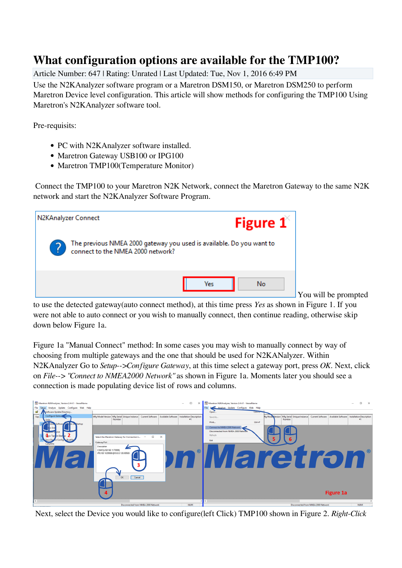## **What configuration options are available for the TMP100?**

Article Number: 647 | Rating: Unrated | Last Updated: Tue, Nov 1, 2016 6:49 PM

Use the N2KAnalyzer software program or a Maretron DSM150, or Maretron DSM250 to perform Maretron Device level configuration. This article will show methods for configuring the TMP100 Using Maretron's N2KAnalyzer software tool.

Pre-requisits:

- PC with N2KAnalyzer software installed.
- Maretron Gateway USB100 or IPG100
- Maretron TMP100(Temperature Monitor)

 Connect the TMP100 to your Maretron N2K Network, connect the Maretron Gateway to the same N2K network and start the N2KAnalyzer Software Program.



You will be prompted

to use the detected gateway(auto connect method), at this time press *Yes* as shown in Figure 1. If you were not able to auto connect or you wish to manually connect, then continue reading, otherwise skip down below Figure 1a.

Figure 1a "Manual Connect" method: In some cases you may wish to manually connect by way of choosing from multiple gateways and the one that should be used for N2KANalyzer. Within N2KAnalyzer Go to *Setup-->Configure Gateway*, at this time select a gateway port, press *OK*. Next, click on *File--> "Connect to NMEA2000 Network"* as shown in Figure 1a. Moments later you should see a connection is made populating device list of rows and columns.



Next, select the Device you would like to configure(left Click) TMP100 shown in Figure 2. *Right-Click*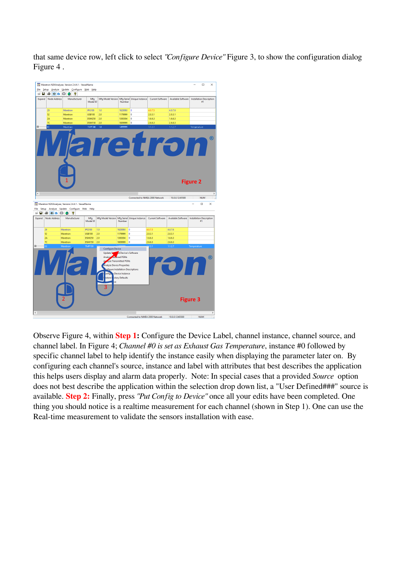that same device row, left click to select *"Configure Device"* Figure 3, to show the configuration dialog Figure 4 .



Observe Figure 4, within **Step 1:** Configure the Device Label, channel instance, channel source, and channel label. In Figure 4; *Channel #0 is set as Exhaust Gas Temperature*, instance #0 followed by specific channel label to help identify the instance easily when displaying the parameter later on. By configuring each channel's source, instance and label with attributes that best describes the application this helps users display and alarm data properly. Note: In special cases that a provided *Source* option does not best describe the application within the selection drop down list, a "User Defined###" source is available. **Step 2:** Finally, press *"Put Config to Device"* once all your edits have been completed. One thing you should notice is a realtime measurement for each channel (shown in Step 1). One can use the Real-time measurement to validate the sensors installation with ease.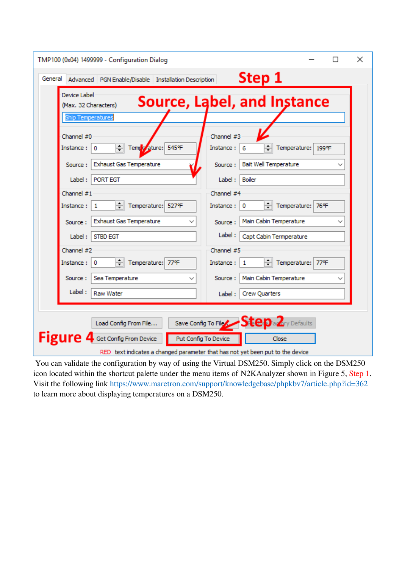| TMP100 (0x04) 1499999 - Configuration Dialog                                                                                                          | $\times$                     |
|-------------------------------------------------------------------------------------------------------------------------------------------------------|------------------------------|
| Step 1<br>General<br>Advanced   PGN Enable/Disable   Installation Description                                                                         |                              |
| Device Label<br>Source, Label, and Instance<br>(Max. 32 Characters)<br><b>Ship Temperatures</b>                                                       |                              |
| Channel #0<br>Channel #3<br>Tempe ature: 545°F<br>Instance:<br>Instance:<br>0<br>6                                                                    | Temperature: 199°F           |
| <b>Exhaust Gas Temperature</b><br>Source:<br>Source:<br>PORT EGT<br>Boiler<br>Label:<br>Label:                                                        | <b>Bait Well Temperature</b> |
| Channel #1<br>Channel #4<br>취 Temperature: 527°F<br>Instance:<br>Instance:<br>$\circ$<br>1                                                            | → Temperature: 76°F          |
| <b>Exhaust Gas Temperature</b><br>Source:<br>Source:                                                                                                  | Main Cabin Temperature       |
| Label:<br><b>STBD EGT</b><br>Label:<br>Channel #2<br>Channel #5                                                                                       | Capt Cabin Termperature      |
| Temperature: 77°F<br>Instance:<br>0<br>Instance:<br>1                                                                                                 | Temperature: 77°F            |
| Sea Temperature<br>Source:<br>Source:                                                                                                                 | Main Cabin Temperature       |
| Label:<br><b>Raw Water</b><br><b>Crew Quarters</b><br>Label:                                                                                          |                              |
| Save Config To File $S$ tepa $2$ ry Defaults<br>Load Config From File                                                                                 |                              |
| Figure 4<br>Get Config From Device<br>Put Config To Device<br>Close<br>RED text indicates a changed parameter that has not yet been put to the device |                              |

 You can validate the configuration by way of using the Virtual DSM250. Simply click on the DSM250 icon located within the shortcut palette under the menu items of N2KAnalyzer shown in Figure 5, Step 1. Visit the following link <https://www.maretron.com/support/knowledgebase/phpkbv7/article.php?id=362> [to learn more about displaying temperatures on a DSM250.](https://www.maretron.com/support/knowledgebase/phpkbv7/article.php?id=362)